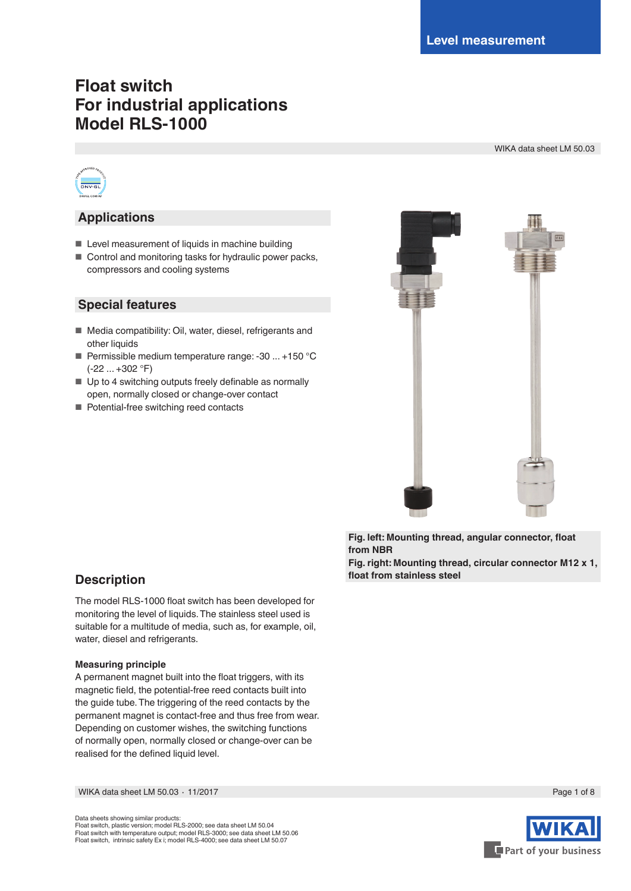# **Float switch For industrial applications Model RLS-1000**

WIKA data sheet LM 50.03



### **Applications**

- Level measurement of liquids in machine building
- Control and monitoring tasks for hydraulic power packs, compressors and cooling systems

### **Special features**

- Media compatibility: Oil, water, diesel, refrigerants and other liquids
- Permissible medium temperature range: -30 ... +150 °C (-22 ... +302 °F)
- Up to 4 switching outputs freely definable as normally open, normally closed or change-over contact
- Potential-free switching reed contacts



**Fig. left: Mounting thread, angular connector, float from NBR Fig. right: Mounting thread, circular connector M12 x 1,** 

**float from stainless steel**

### **Description**

The model RLS-1000 float switch has been developed for monitoring the level of liquids. The stainless steel used is suitable for a multitude of media, such as, for example, oil, water, diesel and refrigerants.

#### **Measuring principle**

A permanent magnet built into the float triggers, with its magnetic field, the potential-free reed contacts built into the guide tube. The triggering of the reed contacts by the permanent magnet is contact-free and thus free from wear. Depending on customer wishes, the switching functions of normally open, normally closed or change-over can be realised for the defined liquid level.

WIKA data sheet LM 50.03 ⋅ 11/2017 Page 1 of 8

Data sheets showing similar products: Float switch, plastic version; model RLS-2000; see data sheet LM 50.04 Float switch with temperature output; model RLS-3000; see data sheet LM 50.06 Float switch, intrinsic safety Ex i; model RLS-4000; see data sheet LM 50.07



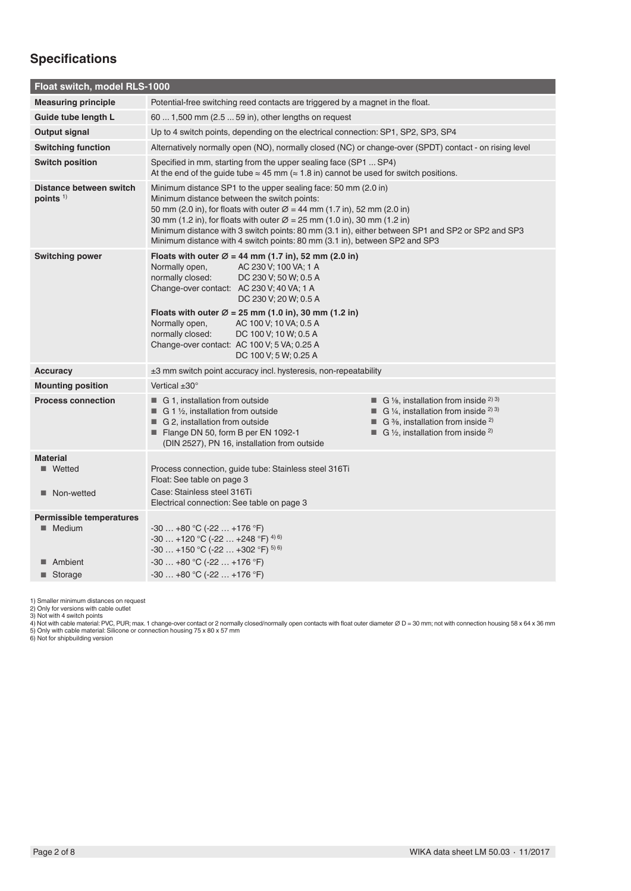## **Specifications**

| Float switch, model RLS-1000                                          |                                                                                                                                                                                                                                                                                                                                                                                                                                                                                 |
|-----------------------------------------------------------------------|---------------------------------------------------------------------------------------------------------------------------------------------------------------------------------------------------------------------------------------------------------------------------------------------------------------------------------------------------------------------------------------------------------------------------------------------------------------------------------|
| <b>Measuring principle</b>                                            | Potential-free switching reed contacts are triggered by a magnet in the float.                                                                                                                                                                                                                                                                                                                                                                                                  |
| Guide tube length L                                                   | 60  1,500 mm (2.5  59 in), other lengths on request                                                                                                                                                                                                                                                                                                                                                                                                                             |
| Output signal                                                         | Up to 4 switch points, depending on the electrical connection: SP1, SP2, SP3, SP4                                                                                                                                                                                                                                                                                                                                                                                               |
| <b>Switching function</b>                                             | Alternatively normally open (NO), normally closed (NC) or change-over (SPDT) contact - on rising level                                                                                                                                                                                                                                                                                                                                                                          |
| <b>Switch position</b>                                                | Specified in mm, starting from the upper sealing face (SP1  SP4)<br>At the end of the guide tube $\approx 45$ mm ( $\approx 1.8$ in) cannot be used for switch positions.                                                                                                                                                                                                                                                                                                       |
| Distance between switch<br>points $1$                                 | Minimum distance SP1 to the upper sealing face: 50 mm (2.0 in)<br>Minimum distance between the switch points:<br>50 mm (2.0 in), for floats with outer $\varnothing$ = 44 mm (1.7 in), 52 mm (2.0 in)<br>30 mm (1.2 in), for floats with outer $\varnothing$ = 25 mm (1.0 in), 30 mm (1.2 in)<br>Minimum distance with 3 switch points: 80 mm (3.1 in), either between SP1 and SP2 or SP2 and SP3<br>Minimum distance with 4 switch points: 80 mm (3.1 in), between SP2 and SP3 |
| <b>Switching power</b>                                                | Floats with outer $\varnothing$ = 44 mm (1.7 in), 52 mm (2.0 in)<br>Normally open,<br>AC 230 V; 100 VA; 1 A<br>normally closed:<br>DC 230 V; 50 W; 0.5 A<br>Change-over contact: AC 230 V; 40 VA; 1 A<br>DC 230 V; 20 W; 0.5 A<br>Floats with outer $\varnothing$ = 25 mm (1.0 in), 30 mm (1.2 in)<br>Normally open,<br>AC 100 V; 10 VA; 0.5 A<br>normally closed:<br>DC 100 V; 10 W; 0.5 A<br>Change-over contact: AC 100 V; 5 VA; 0.25 A<br>DC 100 V; 5 W; 0.25 A             |
| <b>Accuracy</b>                                                       | $\pm 3$ mm switch point accuracy incl. hysteresis, non-repeatability                                                                                                                                                                                                                                                                                                                                                                                                            |
| <b>Mounting position</b>                                              | Vertical $\pm 30^\circ$                                                                                                                                                                                                                                                                                                                                                                                                                                                         |
| <b>Process connection</b>                                             | <b>G</b> $\frac{1}{8}$ , installation from inside <sup>2) 3)</sup><br>G 1, installation from outside<br>G 1/4, installation from inside $^{2}$ 3)<br>$\blacksquare$ G 1 1/ <sub>2</sub> , installation from outside<br>G 2, installation from outside<br>G $\frac{3}{8}$ , installation from inside $\frac{2}{8}$<br>■<br>Flange DN 50, form B per EN 1092-1<br><b>G</b> 1/2, installation from inside <sup>2)</sup><br>(DIN 2527), PN 16, installation from outside            |
| <b>Material</b><br>■ Wetted<br>Non-wetted                             | Process connection, guide tube: Stainless steel 316Ti<br>Float: See table on page 3<br>Case: Stainless steel 316Ti<br>Electrical connection: See table on page 3                                                                                                                                                                                                                                                                                                                |
| <b>Permissible temperatures</b><br>■ Medium<br>■ Ambient<br>■ Storage | $-30+80$ °C ( $-22+176$ °F)<br>$-30$ +120 °C (-22  +248 °F) <sup>4)6)</sup><br>$-30$ +150 °C (-22  +302 °F) $^{5)}$ 6)<br>$-30+80$ °C (-22  +176 °F)<br>$-30+80$ °C ( $-22+176$ °F)                                                                                                                                                                                                                                                                                             |
|                                                                       |                                                                                                                                                                                                                                                                                                                                                                                                                                                                                 |

1) Smaller minimum distances on request<br>2) Only for versions with cable outlet<br>3) Not with cable material: PVC, PUR; max. 1 change-over contact or 2 normally closed/normally open contacts with float outer diameter Ø D = 30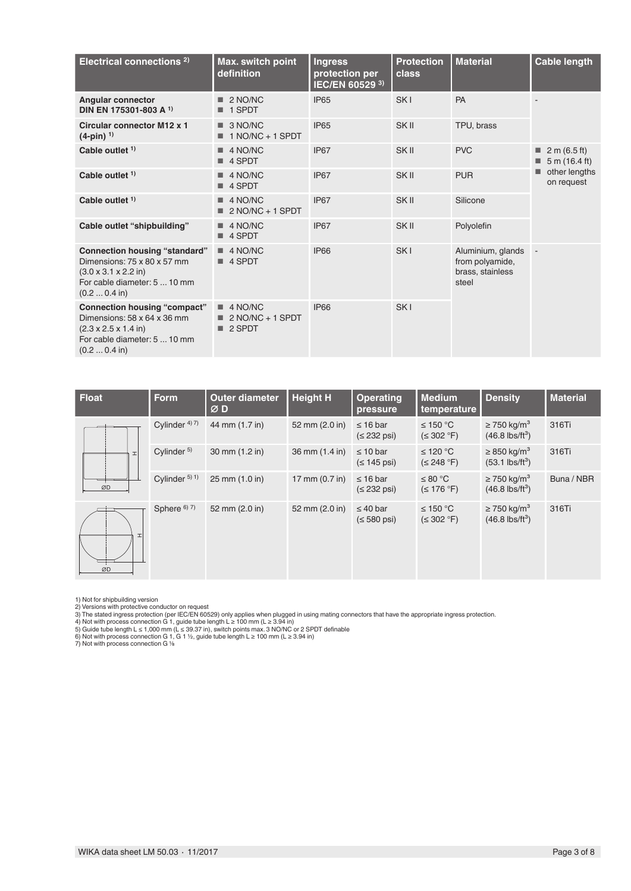| Electrical connections <sup>2)</sup>                                                                                                                             | Max. switch point<br>definition                        | <b>Ingress</b><br>protection per<br>IEC/EN 60529 3) | <b>Protection</b><br>class | <b>Material</b>                                                   | <b>Cable length</b>                          |
|------------------------------------------------------------------------------------------------------------------------------------------------------------------|--------------------------------------------------------|-----------------------------------------------------|----------------------------|-------------------------------------------------------------------|----------------------------------------------|
| <b>Angular connector</b><br>DIN EN 175301-803 A 1)                                                                                                               | 2 NO/NC<br>1 SPDT<br>■                                 | <b>IP65</b>                                         | SK <sub>I</sub>            | PA                                                                |                                              |
| <b>Circular connector M12 x 1</b><br>$(4-pin)^{-1}$                                                                                                              | 3 NO/NC<br>$1 NQ/NC + 1 SPDT$                          | <b>IP65</b>                                         | SK II                      | TPU, brass                                                        |                                              |
| Cable outlet $1$ )                                                                                                                                               | 4 NO/NC<br>■ 4 SPDT                                    | IP67                                                | SK II                      | <b>PVC</b>                                                        | $\blacksquare$ 2 m (6.5 ft)<br>5 m (16.4 ft) |
| Cable outlet $1$ )                                                                                                                                               | 4 NO/NC<br>■ 4 SPDT                                    | <b>IP67</b>                                         | SK II                      | <b>PUR</b>                                                        | other lengths<br>on request                  |
| Cable outlet <sup>1)</sup>                                                                                                                                       | 4 NO/NC<br>$2 NQ/NC + 1$ SPDT                          | <b>IP67</b>                                         | SK <sub>II</sub>           | Silicone                                                          |                                              |
| Cable outlet "shipbuilding"                                                                                                                                      | 4 NO/NC<br>■ 4 SPDT                                    | IP67                                                | SK <sub>II</sub>           | Polyolefin                                                        |                                              |
| <b>Connection housing "standard"</b><br>Dimensions: 75 x 80 x 57 mm<br>$(3.0 \times 3.1 \times 2.2 \text{ in})$<br>For cable diameter: 5  10 mm<br>(0.2  0.4 in) | 4 NO/NC<br>4 SPDT                                      | <b>IP66</b>                                         | SK <sub>I</sub>            | Aluminium, glands<br>from polyamide,<br>brass, stainless<br>steel |                                              |
| <b>Connection housing "compact"</b><br>Dimensions: 58 x 64 x 36 mm<br>$(2.3 \times 2.5 \times 1.4 \text{ in})$<br>For cable diameter: 5  10 mm<br>(0.2  0.4 in)  | $\blacksquare$ 4 NO/NC<br>$2 NO/NC + 1 SPDT$<br>2 SPDT | <b>IP66</b>                                         | SK <sub>I</sub>            |                                                                   |                                              |

| Float    | <b>Form</b>            | <b>Outer diameter</b><br>ØD | <b>Height H</b>          | <b>Operating</b><br>pressure         | <b>Medium</b><br>temperature | <b>Density</b>                                            | <b>Material</b> |
|----------|------------------------|-----------------------------|--------------------------|--------------------------------------|------------------------------|-----------------------------------------------------------|-----------------|
|          | Cylinder $47$ )        | 44 mm (1.7 in)              | 52 mm (2.0 in)           | $\leq$ 16 bar<br>$(232 \text{ psi})$ | ≤ 150 °C<br>(S 302 °F)       | $\geq$ 750 kg/m <sup>3</sup><br>$(46.8 \text{ lbs/ft}^3)$ | 316Ti           |
| <b>I</b> | Cylinder <sup>5)</sup> | 30 mm (1.2 in)              | 36 mm (1.4 in)           | $\leq 10$ bar<br>$(145 \text{ psi})$ | ≤ 120 °C<br>(S 248 °F)       | $\geq$ 850 kg/m <sup>3</sup><br>$(53.1 \text{ lbs/ft}^3)$ | 316Ti           |
| ØD       | Cylinder $5)$ 1)       | 25 mm (1.0 in)              | 17 mm $(0.7 \text{ in})$ | $\leq$ 16 bar<br>$(232 psi)$         | ≤ 80 °C<br>$(S$ 176 °F)      | $\geq$ 750 kg/m <sup>3</sup><br>$(46.8 \text{ lbs/ft}^3)$ | Buna / NBR      |
| H<br>ØD  | Sphere 6) 7)           | 52 mm (2.0 in)              | 52 mm (2.0 in)           | $\leq 40$ bar<br>$(580 \text{ psi})$ | ≤ 150 °C<br>(S 302 °F)       | $\geq$ 750 kg/m <sup>3</sup><br>$(46.8 \text{ lbs/ft}^3)$ | 316Ti           |

1) Not for shipbuilding version<br>2) Versions with protective conductor on request<br>3) The stated ingress protective conductor on request<br>3) The stated ingress protection (per IEC/EN 60529) only applies when plugged in using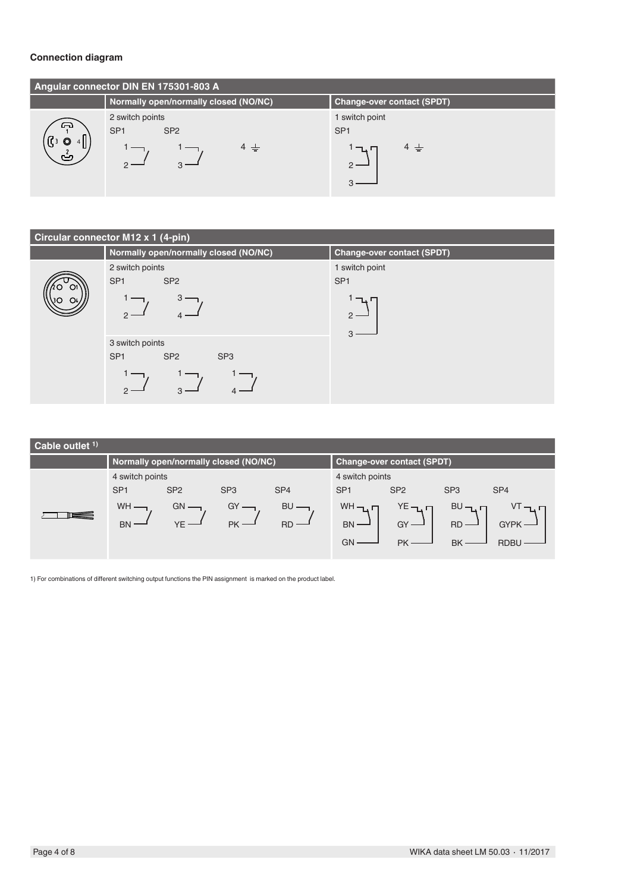#### **Connection diagram**

|                       | Angular connector DIN EN 175301-803 A |                                   |
|-----------------------|---------------------------------------|-----------------------------------|
|                       | Normally open/normally closed (NO/NC) | <b>Change-over contact (SPDT)</b> |
| ക                     | 2 switch points                       | 1 switch point                    |
|                       | SP <sub>1</sub><br>SP <sub>2</sub>    | SP <sub>1</sub>                   |
| $\circ$<br>լլ։<br>رتے | $4 \pm$                               | $4 \pm$<br>╵─ᇈ┍                   |

#### **Circular connector M12 x 1 (4-pin)**



| Cable outlet $1$ ) |                 |                                       |                 |                 |                 |                                   |                 |                 |
|--------------------|-----------------|---------------------------------------|-----------------|-----------------|-----------------|-----------------------------------|-----------------|-----------------|
|                    |                 | Normally open/normally closed (NO/NC) |                 |                 |                 | <b>Change-over contact (SPDT)</b> |                 |                 |
|                    | 4 switch points |                                       |                 |                 | 4 switch points |                                   |                 |                 |
|                    | SP <sub>1</sub> | SP <sub>2</sub>                       | SP <sub>3</sub> | SP <sub>4</sub> | SP <sub>1</sub> | SP <sub>2</sub>                   | SP <sub>3</sub> | SP <sub>4</sub> |
|                    | <b>WH</b>       | GN                                    | GY              | <b>BU</b>       | $WH - L$        | YЕ⊣.                              | BU              |                 |
|                    | <b>BN</b>       |                                       | PK -            | $RD -$          | $BN$ —          | $GY -$                            | <b>RD</b>       | <b>GYPK</b>     |
|                    |                 |                                       |                 |                 | GN              | <b>PK</b>                         | <b>BK</b>       | <b>RDBL</b>     |
|                    |                 |                                       |                 |                 |                 |                                   |                 |                 |

1) For combinations of different switching output functions the PIN assignment is marked on the product label.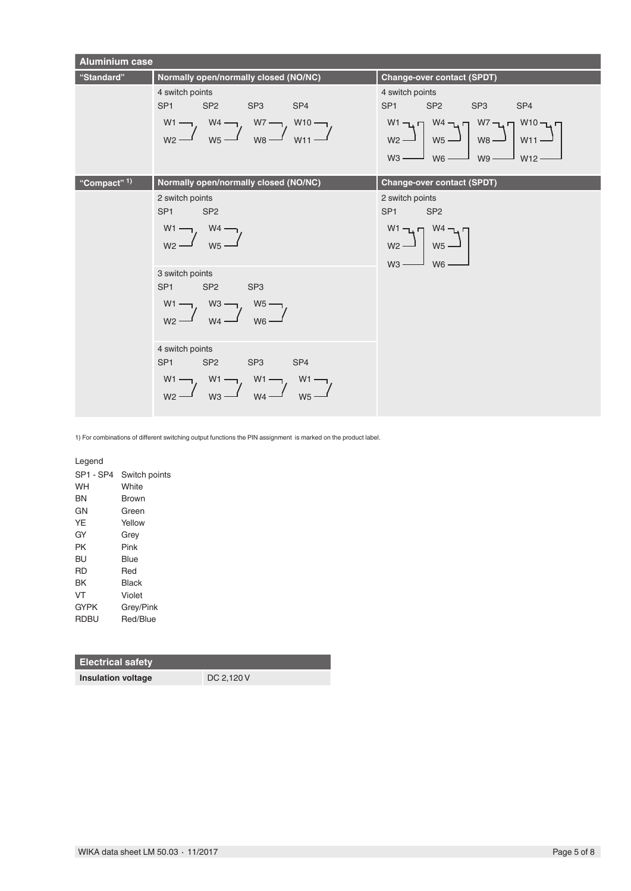

1) For combinations of different switching output functions the PIN assignment is marked on the product label.

Legend

| SP1 - SP4   | Switch points |
|-------------|---------------|
| WH          | White         |
| ΒN          | Brown         |
| GΝ          | Green         |
| YE          | Yellow        |
| GY          | Grey          |
| PK          | Pink          |
| BU          | <b>Blue</b>   |
| RD          | Red           |
| BK          | Black         |
| VT          | Violet        |
| <b>GYPK</b> | Grey/Pink     |
| <b>RDBU</b> | Red/Blue      |
|             |               |

#### **Electrical safety**

**Insulation voltage** DC 2,120 V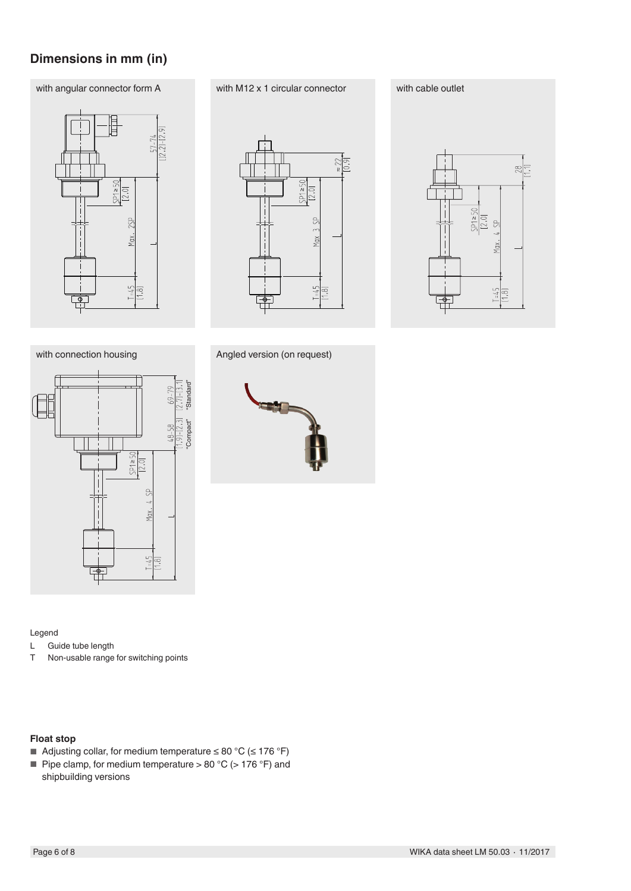## **Dimensions in mm (in)**

### with angular connector form A with M12 x 1 circular connector with cable outlet







with connection housing "Compact" "Standard" ∧  $Max. 4.9P$  $\frac{1-45}{11.81}$ 

Angled version (on request)



#### Legend

- L Guide tube length<br>T Non-usable range
- Non-usable range for switching points

#### **Float stop**

- Adjusting collar, for medium temperature  $\leq 80 \degree C \leq 176 \degree F$ )
- Pipe clamp, for medium temperature > 80 °C (> 176 °F) and shipbuilding versions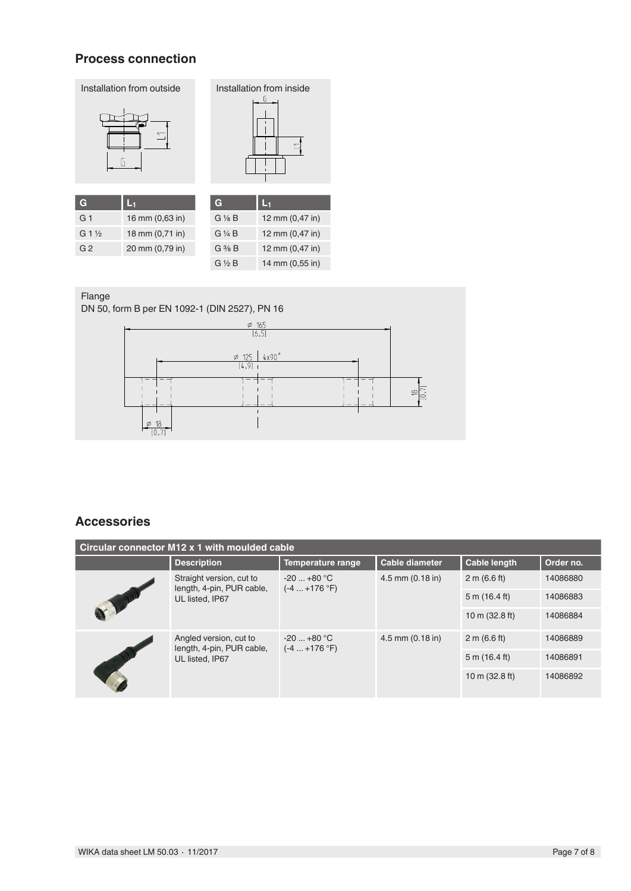### **Process connection**



| $G\$ $B$          | 12 mm (0,47 in) |
|-------------------|-----------------|
| G ¼ B             | 12 mm (0,47 in) |
| $G \frac{3}{8} B$ | 12 mm (0,47 in) |
| $G\frac{1}{2}B$   | 14 mm (0,55 in) |

### Flange

DN 50, form B per EN 1092-1 (DIN 2527), PN 16



### **Accessories**

| Circular connector M12 x 1 with moulded cable                            |                                                     |                                |                       |                          |           |
|--------------------------------------------------------------------------|-----------------------------------------------------|--------------------------------|-----------------------|--------------------------|-----------|
|                                                                          | <b>Description</b>                                  | <b>Temperature range</b>       | <b>Cable diameter</b> | <b>Cable length</b>      | Order no. |
| Straight version, cut to<br>length, 4-pin, PUR cable,<br>UL listed. IP67 |                                                     | $-20+80 °C$<br>$(-4  +176 °F)$ | 4.5 mm (0.18 in)      | 2 m (6.6 ft)             | 14086880  |
|                                                                          |                                                     |                                |                       | 5 m (16.4 ft)            | 14086883  |
|                                                                          |                                                     |                                |                       | 10 m (32.8 ft)           | 14086884  |
|                                                                          | Angled version, cut to<br>length, 4-pin, PUR cable, | $-20+80$ °C<br>$(-4  +176 °F)$ | $4.5$ mm $(0.18$ in)  | 2 m (6.6 ft)             | 14086889  |
|                                                                          | UL listed, IP67                                     |                                |                       | 5 m (16.4 ft)            | 14086891  |
|                                                                          |                                                     |                                |                       | 10 m $(32.8 \text{ ft})$ | 14086892  |